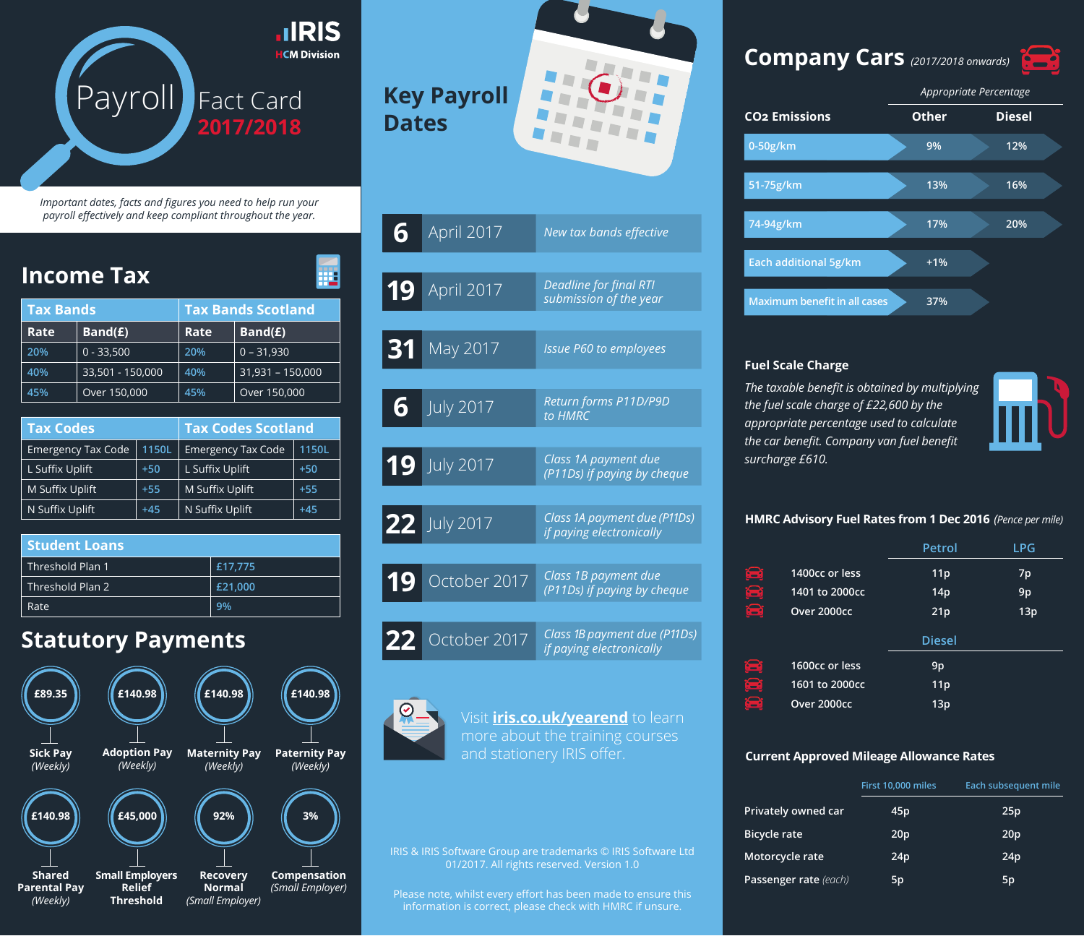

*Important dates, facts and figures you need to help run your payroll effectively and keep compliant throughout the year.*

| <b>Income Tax</b>        |                           |       |                           |                  |       |  |  |  |
|--------------------------|---------------------------|-------|---------------------------|------------------|-------|--|--|--|
| <b>Tax Bands</b>         |                           |       | <b>Tax Bands Scotland</b> |                  |       |  |  |  |
| Rate                     | Band(E)                   |       | Rate                      | Band(E)          |       |  |  |  |
| 20%                      | $0 - 33,500$              |       | 20%                       | $0 - 31,930$     |       |  |  |  |
| 40%                      | 33,501 - 150,000          |       | 40%                       | 31,931 - 150,000 |       |  |  |  |
| 45%                      | Over 150,000              |       | 45%                       | Over 150,000     |       |  |  |  |
|                          |                           |       |                           |                  |       |  |  |  |
| <b>Tax Codes</b>         |                           |       | <b>Tax Codes Scotland</b> |                  |       |  |  |  |
|                          | <b>Emergency Tax Code</b> | 1150L | <b>Emergency Tax Code</b> | 1150L            |       |  |  |  |
| L Suffix Uplift<br>$+50$ |                           |       | L Suffix Uplift           | $+50$            |       |  |  |  |
| M Suffix Uplift<br>$+55$ |                           |       | M Suffix Uplift           |                  | $+55$ |  |  |  |
| N Suffix Uplift<br>$+45$ |                           |       | N Suffix Uplift<br>$+45$  |                  |       |  |  |  |
|                          |                           |       |                           |                  |       |  |  |  |
|                          | Studant Loane             |       |                           |                  |       |  |  |  |

| <b>Student Loans</b> |         |  |  |  |  |  |
|----------------------|---------|--|--|--|--|--|
| Threshold Plan 1     | £17.775 |  |  |  |  |  |
| Threshold Plan 2     | £21,000 |  |  |  |  |  |
| Rate                 | 9%      |  |  |  |  |  |

## **Statutory Payments**



# **Key Payroll Dates**

| 6               | April 2017       | New tax bands effective                                  |
|-----------------|------------------|----------------------------------------------------------|
| 19              | April 2017       | <b>Deadline for final RTI</b><br>submission of the year  |
| 31              | May 2017         | <b>Issue P60 to employees</b>                            |
| $\overline{6}$  | <b>July 2017</b> | Return forms P11D/P9D<br>to HMRC                         |
|                 | 19 July 2017     | Class 1A payment due<br>(P11Ds) if paying by cheque      |
|                 | 22 July 2017     | Class 1A payment due (P11Ds)<br>if paying electronically |
|                 | 19 October 2017  | Class 1B payment due<br>(P11Ds) if paying by cheque      |
| $\overline{22}$ | October 2017     | Class 1B payment due (P11Ds)<br>if paying electronically |

Visit **[iris.co.uk/yearend](http://www.iris.co.uk/insight/payroll-year-end-2016/)** to learn more about the training courses and stationery IRIS offer.

IRIS & IRIS Software Group are trademarks © IRIS Software Ltd 01/2017. All rights reserved. Version 1.0

Please note, whilst every effort has been made to ensure this information is correct, please check with HMRC if unsure.

## **Company Cars** *(2017/2018 onwards)*





#### **Fuel Scale Charge**

*The taxable benefit is obtained by multiplying the fuel scale charge of £22,600 by the appropriate percentage used to calculate the car benefit. Company van fuel benefit surcharge £610.*



#### **HMRC Advisory Fuel Rates from 1 Dec 2016** *(Pence per mile)*

#### **Current Approved Mileage Allowance Rates**

|                       | First 10,000 miles | Each subsequent mile |
|-----------------------|--------------------|----------------------|
| Privately owned car   | 45p                | 25p                  |
| <b>Bicycle rate</b>   | 20 <sub>p</sub>    | 20 <sub>p</sub>      |
| Motorcycle rate       | 24p                | 24p                  |
| Passenger rate (each) | 5p                 | 5p                   |